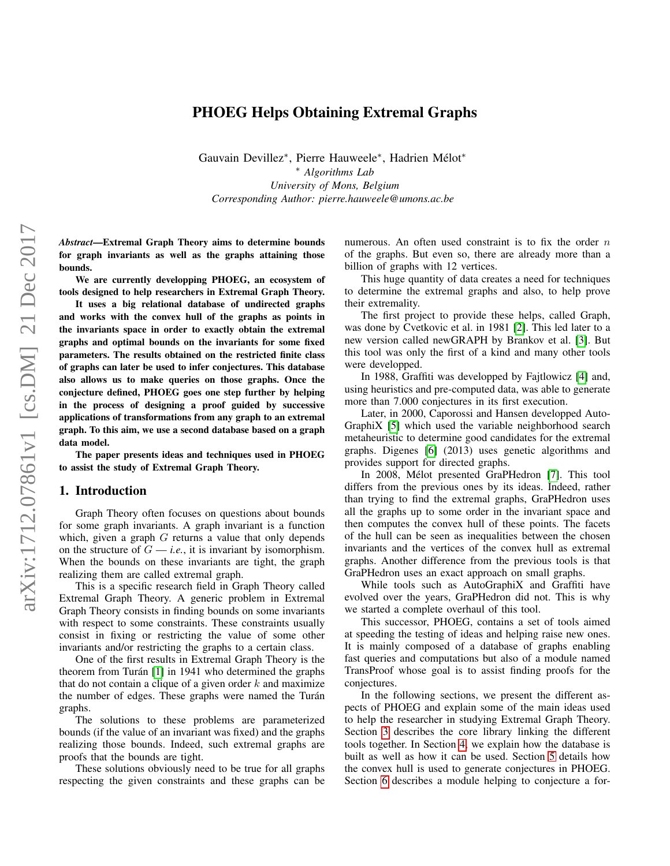# PHOEG Helps Obtaining Extremal Graphs

Gauvain Devillez<sup>∗</sup> , Pierre Hauweele<sup>∗</sup> , Hadrien Mélot<sup>∗</sup> <sup>∗</sup> *Algorithms Lab University of Mons, Belgium*

*Corresponding Author: pierre.hauweele@umons.ac.be*

*Abstract*—Extremal Graph Theory aims to determine bounds for graph invariants as well as the graphs attaining those bounds.

We are currently developping PHOEG, an ecosystem of tools designed to help researchers in Extremal Graph Theory.

It uses a big relational database of undirected graphs and works with the convex hull of the graphs as points in the invariants space in order to exactly obtain the extremal graphs and optimal bounds on the invariants for some fixed parameters. The results obtained on the restricted finite class of graphs can later be used to infer conjectures. This database also allows us to make queries on those graphs. Once the conjecture defined, PHOEG goes one step further by helping in the process of designing a proof guided by successive applications of transformations from any graph to an extremal graph. To this aim, we use a second database based on a graph data model.

The paper presents ideas and techniques used in PHOEG to assist the study of Extremal Graph Theory.

#### 1. Introduction

Graph Theory often focuses on questions about bounds for some graph invariants. A graph invariant is a function which, given a graph  $G$  returns a value that only depends on the structure of  $G$  — *i.e.*, it is invariant by isomorphism. When the bounds on these invariants are tight, the graph realizing them are called extremal graph.

This is a specific research field in Graph Theory called Extremal Graph Theory. A generic problem in Extremal Graph Theory consists in finding bounds on some invariants with respect to some constraints. These constraints usually consist in fixing or restricting the value of some other invariants and/or restricting the graphs to a certain class.

One of the first results in Extremal Graph Theory is the theorem from Turán [\[1\]](#page-5-0) in 1941 who determined the graphs that do not contain a clique of a given order  $k$  and maximize the number of edges. These graphs were named the Turán graphs.

The solutions to these problems are parameterized bounds (if the value of an invariant was fixed) and the graphs realizing those bounds. Indeed, such extremal graphs are proofs that the bounds are tight.

These solutions obviously need to be true for all graphs respecting the given constraints and these graphs can be numerous. An often used constraint is to fix the order  $n$ of the graphs. But even so, there are already more than a billion of graphs with 12 vertices.

This huge quantity of data creates a need for techniques to determine the extremal graphs and also, to help prove their extremality.

The first project to provide these helps, called Graph, was done by Cvetkovic et al. in 1981 [\[2\]](#page-5-1). This led later to a new version called newGRAPH by Brankov et al. [\[3\]](#page-5-2). But this tool was only the first of a kind and many other tools were developped.

In 1988, Graffiti was developped by Fajtlowicz [\[4\]](#page-5-3) and, using heuristics and pre-computed data, was able to generate more than 7.000 conjectures in its first execution.

Later, in 2000, Caporossi and Hansen developped Auto-GraphiX [\[5\]](#page-5-4) which used the variable neighborhood search metaheuristic to determine good candidates for the extremal graphs. Digenes [\[6\]](#page-5-5) (2013) uses genetic algorithms and provides support for directed graphs.

In 2008, Mélot presented GraPHedron [\[7\]](#page-5-6). This tool differs from the previous ones by its ideas. Indeed, rather than trying to find the extremal graphs, GraPHedron uses all the graphs up to some order in the invariant space and then computes the convex hull of these points. The facets of the hull can be seen as inequalities between the chosen invariants and the vertices of the convex hull as extremal graphs. Another difference from the previous tools is that GraPHedron uses an exact approach on small graphs.

While tools such as AutoGraphiX and Graffiti have evolved over the years, GraPHedron did not. This is why we started a complete overhaul of this tool.

This successor, PHOEG, contains a set of tools aimed at speeding the testing of ideas and helping raise new ones. It is mainly composed of a database of graphs enabling fast queries and computations but also of a module named TransProof whose goal is to assist finding proofs for the conjectures.

In the following sections, we present the different aspects of PHOEG and explain some of the main ideas used to help the researcher in studying Extremal Graph Theory. Section [3](#page-1-0) describes the core library linking the different tools together. In Section [4,](#page-2-0) we explain how the database is built as well as how it can be used. Section [5](#page-2-1) details how the convex hull is used to generate conjectures in PHOEG. Section [6](#page-3-0) describes a module helping to conjecture a for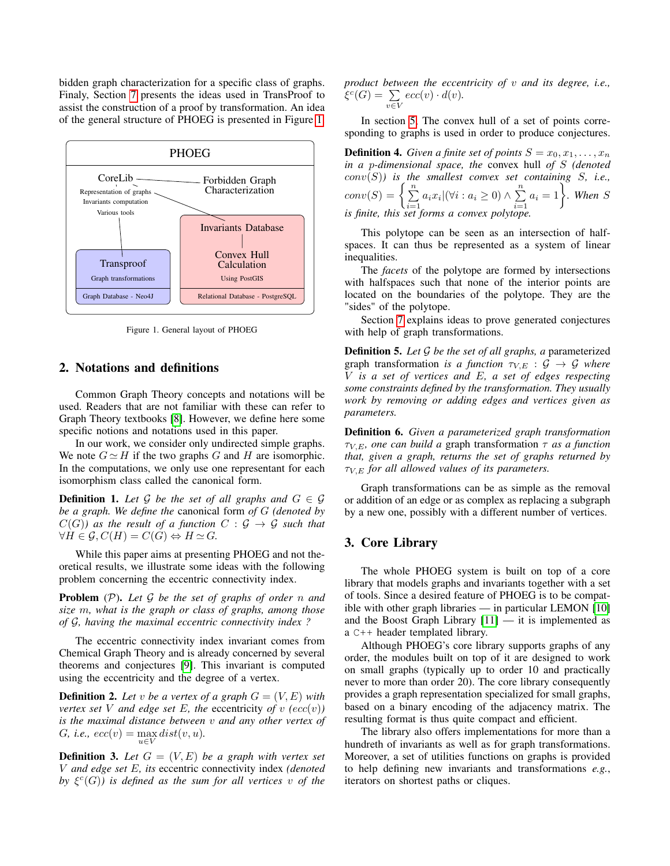bidden graph characterization for a specific class of graphs. Finaly, Section [7](#page-3-1) presents the ideas used in TransProof to assist the construction of a proof by transformation. An idea of the general structure of PHOEG is presented in Figure [1.](#page-1-1)



<span id="page-1-1"></span>Figure 1. General layout of PHOEG

#### 2. Notations and definitions

Common Graph Theory concepts and notations will be used. Readers that are not familiar with these can refer to Graph Theory textbooks [\[8\]](#page-5-7). However, we define here some specific notions and notations used in this paper.

In our work, we consider only undirected simple graphs. We note  $G \simeq H$  if the two graphs G and H are isomorphic. In the computations, we only use one representant for each isomorphism class called the canonical form.

**Definition 1.** Let G be the set of all graphs and  $G \in \mathcal{G}$ *be a graph. We define the* canonical form *of* G *(denoted by*  $C(G)$ *)* as the result of a function  $C : \mathcal{G} \to \mathcal{G}$  such that  $\forall H \in \mathcal{G}, C(H) = C(G) \Leftrightarrow H \simeq G.$ 

While this paper aims at presenting PHOEG and not theoretical results, we illustrate some ideas with the following problem concerning the eccentric connectivity index.

Problem (P). *Let* G *be the set of graphs of order* n *and size* m*, what is the graph or class of graphs, among those of* G*, having the maximal eccentric connectivity index ?*

The eccentric connectivity index invariant comes from Chemical Graph Theory and is already concerned by several theorems and conjectures [\[9\]](#page-5-8). This invariant is computed using the eccentricity and the degree of a vertex.

**Definition 2.** Let *v* be a vertex of a graph  $G = (V, E)$  with *vertex set* V *and edge set* E, *the* eccentricity *of* v  $(ecc(v))$ *is the maximal distance between* v *and any other vertex of*  $G,$  *i.e.,*  $ecc(v) = \max dist(v, u)$ .  $u \in V$ 

**Definition 3.** Let  $G = (V, E)$  be a graph with vertex set V *and edge set* E*, its* eccentric connectivity index *(denoted* by  $\xi^c(G)$ ) is defined as the sum for all vertices v of the *product between the eccentricity of* v *and its degree, i.e.,*  $\xi^c(G) = \sum$ v∈V  $ecc(v) \cdot d(v)$ .

In section [5,](#page-2-1) The convex hull of a set of points corresponding to graphs is used in order to produce conjectures.

**Definition 4.** *Given a finite set of points*  $S = x_0, x_1, \ldots, x_n$ *in a* p*-dimensional space, the* convex hull *of* S *(denoted* conv(S)*) is the smallest convex set containing* S*, i.e.,*  $conv(S) = \left\{ \sum_{i=1}^{n} \right\}$  $\sum_{i=1}^n a_i x_i | (\forall i : a_i \geq 0) \wedge \sum_{i=1}^n$  $\sum_{i=1}^{n} a_i = 1$ . When S *is finite, this set forms a convex polytope.*

This polytope can be seen as an intersection of halfspaces. It can thus be represented as a system of linear inequalities.

The *facets* of the polytope are formed by intersections with halfspaces such that none of the interior points are located on the boundaries of the polytope. They are the "sides" of the polytope.

Section [7](#page-3-1) explains ideas to prove generated conjectures with help of graph transformations.

Definition 5. *Let* G *be the set of all graphs, a* parameterized graph transformation *is a function*  $\tau_{V,E}$  :  $\mathcal{G} \rightarrow \mathcal{G}$  *where* V *is a set of vertices and* E*, a set of edges respecting some constraints defined by the transformation. They usually work by removing or adding edges and vertices given as parameters.*

Definition 6. *Given a parameterized graph transformation*  $\tau_{V,E}$ *, one can build a* graph transformation  $\tau$  *as a function that, given a graph, returns the set of graphs returned by* τV,E *for all allowed values of its parameters.*

Graph transformations can be as simple as the removal or addition of an edge or as complex as replacing a subgraph by a new one, possibly with a different number of vertices.

#### <span id="page-1-0"></span>3. Core Library

The whole PHOEG system is built on top of a core library that models graphs and invariants together with a set of tools. Since a desired feature of PHOEG is to be compatible with other graph libraries — in particular LEMON [\[10\]](#page-5-9) and the Boost Graph Library  $[11]$  — it is implemented as a C++ header templated library.

Although PHOEG's core library supports graphs of any order, the modules built on top of it are designed to work on small graphs (typically up to order 10 and practically never to more than order 20). The core library consequently provides a graph representation specialized for small graphs, based on a binary encoding of the adjacency matrix. The resulting format is thus quite compact and efficient.

The library also offers implementations for more than a hundreth of invariants as well as for graph transformations. Moreover, a set of utilities functions on graphs is provided to help defining new invariants and transformations *e.g.*, iterators on shortest paths or cliques.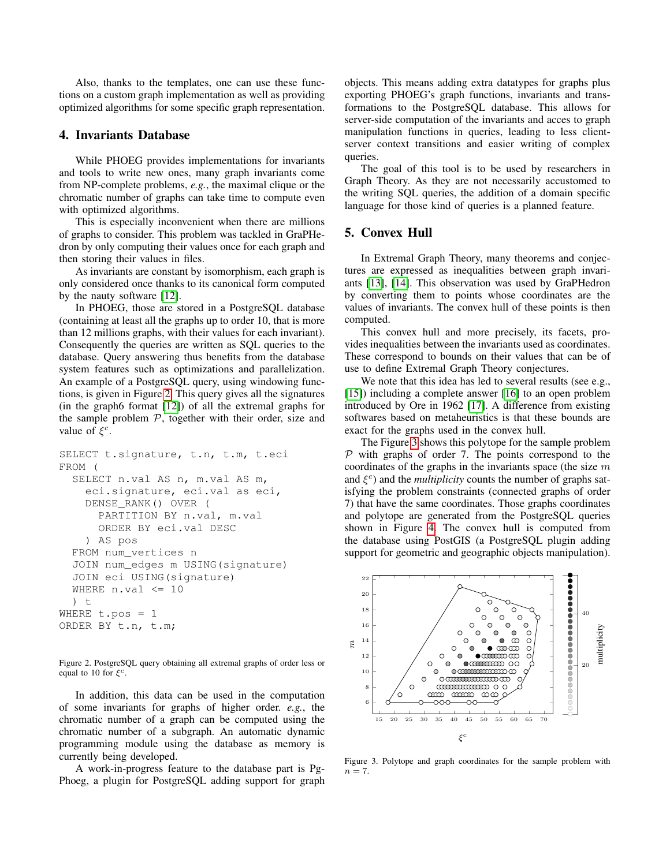Also, thanks to the templates, one can use these functions on a custom graph implementation as well as providing optimized algorithms for some specific graph representation.

### 4. Invariants Database

While PHOEG provides implementations for invariants and tools to write new ones, many graph invariants come from NP-complete problems, *e.g.*, the maximal clique or the chromatic number of graphs can take time to compute even with optimized algorithms.

This is especially inconvenient when there are millions of graphs to consider. This problem was tackled in GraPHedron by only computing their values once for each graph and then storing their values in files.

As invariants are constant by isomorphism, each graph is only considered once thanks to its canonical form computed by the nauty software [\[12\]](#page-5-11).

In PHOEG, those are stored in a PostgreSQL database (containing at least all the graphs up to order 10, that is more than 12 millions graphs, with their values for each invariant). Consequently the queries are written as SQL queries to the database. Query answering thus benefits from the database system features such as optimizations and parallelization. An example of a PostgreSQL query, using windowing functions, is given in Figure [2.](#page-2-0) This query gives all the signatures (in the graph6 format [\[12\]](#page-5-11)) of all the extremal graphs for the sample problem  $P$ , together with their order, size and value of  $\xi^c$ .

```
SELECT t.signature, t.n, t.m, t.eci
FROM (
  SELECT n.val AS n, m.val AS m,
    eci.signature, eci.val as eci,
    DENSE_RANK() OVER (
      PARTITION BY n.val, m.val
      ORDER BY eci.val DESC
    ) AS pos
  FROM num_vertices n
  JOIN num_edges m USING(signature)
  JOIN eci USING(signature)
  WHERE n.yal \leq 10) t
WHERE t.pos = 1ORDER BY t.n, t.m;
```
<span id="page-2-0"></span>Figure 2. PostgreSQL query obtaining all extremal graphs of order less or equal to 10 for  $\xi^c$ .

In addition, this data can be used in the computation of some invariants for graphs of higher order. *e.g.*, the chromatic number of a graph can be computed using the chromatic number of a subgraph. An automatic dynamic programming module using the database as memory is currently being developed.

A work-in-progress feature to the database part is Pg-Phoeg, a plugin for PostgreSQL adding support for graph objects. This means adding extra datatypes for graphs plus exporting PHOEG's graph functions, invariants and transformations to the PostgreSQL database. This allows for server-side computation of the invariants and acces to graph manipulation functions in queries, leading to less clientserver context transitions and easier writing of complex queries.

The goal of this tool is to be used by researchers in Graph Theory. As they are not necessarily accustomed to the writing SQL queries, the addition of a domain specific language for those kind of queries is a planned feature.

### <span id="page-2-1"></span>5. Convex Hull

In Extremal Graph Theory, many theorems and conjectures are expressed as inequalities between graph invariants [\[13\]](#page-5-12), [\[14\]](#page-5-13). This observation was used by GraPHedron by converting them to points whose coordinates are the values of invariants. The convex hull of these points is then computed.

This convex hull and more precisely, its facets, provides inequalities between the invariants used as coordinates. These correspond to bounds on their values that can be of use to define Extremal Graph Theory conjectures.

We note that this idea has led to several results (see e.g., [\[15\]](#page-5-14)) including a complete answer [\[16\]](#page-5-15) to an open problem introduced by Ore in 1962 [\[17\]](#page-5-16). A difference from existing softwares based on metaheuristics is that these bounds are exact for the graphs used in the convex hull.

The Figure [3](#page-2-2) shows this polytope for the sample problem  $P$  with graphs of order 7. The points correspond to the coordinates of the graphs in the invariants space (the size  $m$ and  $\xi^c$ ) and the *multiplicity* counts the number of graphs satisfying the problem constraints (connected graphs of order 7) that have the same coordinates. Those graphs coordinates and polytope are generated from the PostgreSQL queries shown in Figure [4.](#page-3-2) The convex hull is computed from the database using PostGIS (a PostgreSQL plugin adding support for geometric and geographic objects manipulation).



<span id="page-2-2"></span>Figure 3. Polytope and graph coordinates for the sample problem with  $n = 7$ .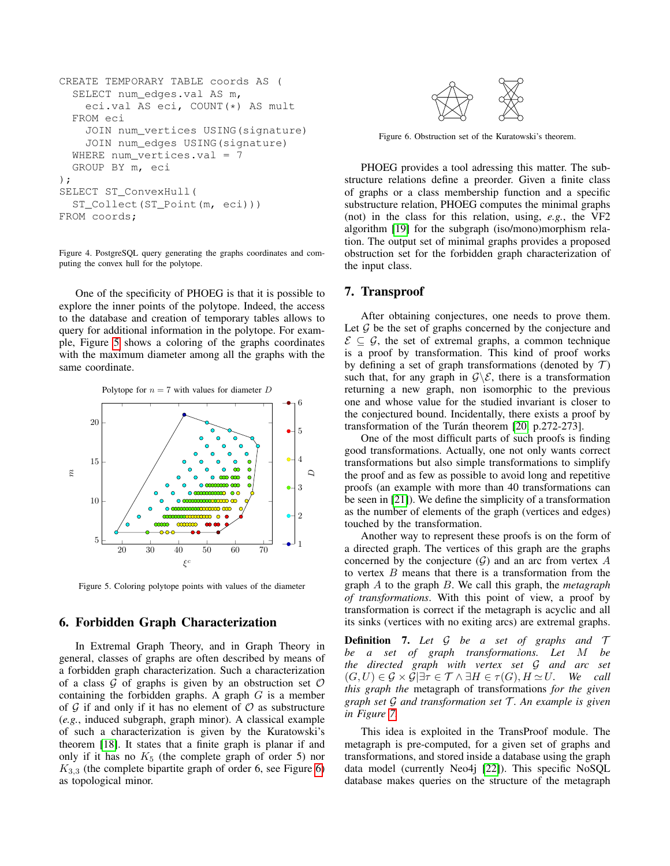```
CREATE TEMPORARY TABLE coords AS (
  SELECT num_edges.val AS m,
    eci.val AS eci, COUNT(*) AS mult
  FROM eci
    JOIN num_vertices USING(signature)
    JOIN num_edges USING(signature)
  WHERE num_vertices.val = 7
  GROUP BY m, eci
);
SELECT ST_ConvexHull(
  ST_Collect(ST_Point(m, eci)))
FROM coords;
```
<span id="page-3-2"></span>Figure 4. PostgreSQL query generating the graphs coordinates and computing the convex hull for the polytope.

One of the specificity of PHOEG is that it is possible to explore the inner points of the polytope. Indeed, the access to the database and creation of temporary tables allows to query for additional information in the polytope. For example, Figure [5](#page-3-3) shows a coloring of the graphs coordinates with the maximum diameter among all the graphs with the same coordinate.



<span id="page-3-3"></span>Figure 5. Coloring polytope points with values of the diameter

## 6. Forbidden Graph Characterization

In Extremal Graph Theory, and in Graph Theory in general, classes of graphs are often described by means of a forbidden graph characterization. Such a characterization of a class  $G$  of graphs is given by an obstruction set  $O$ containing the forbidden graphs. A graph  $G$  is a member of  $G$  if and only if it has no element of  $O$  as substructure (*e.g.*, induced subgraph, graph minor). A classical example of such a characterization is given by the Kuratowski's theorem [\[18\]](#page-5-17). It states that a finite graph is planar if and only if it has no  $K_5$  (the complete graph of order 5) nor  $K_{3,3}$  (the complete bipartite graph of order 6, see Figure [6\)](#page-3-0) as topological minor.



<span id="page-3-0"></span>Figure 6. Obstruction set of the Kuratowski's theorem.

PHOEG provides a tool adressing this matter. The substructure relations define a preorder. Given a finite class of graphs or a class membership function and a specific substructure relation, PHOEG computes the minimal graphs (not) in the class for this relation, using, *e.g.*, the VF2 algorithm [\[19\]](#page-5-18) for the subgraph (iso/mono)morphism relation. The output set of minimal graphs provides a proposed obstruction set for the forbidden graph characterization of the input class.

### <span id="page-3-1"></span>7. Transproof

After obtaining conjectures, one needs to prove them. Let  $\mathcal G$  be the set of graphs concerned by the conjecture and  $\mathcal{E} \subseteq \mathcal{G}$ , the set of extremal graphs, a common technique is a proof by transformation. This kind of proof works by defining a set of graph transformations (denoted by  $\mathcal{T}$ ) such that, for any graph in  $\mathcal{G}\setminus\mathcal{E}$ , there is a transformation returning a new graph, non isomorphic to the previous one and whose value for the studied invariant is closer to the conjectured bound. Incidentally, there exists a proof by transformation of the Turán theorem [\[20,](#page-5-19) p.272-273].

One of the most difficult parts of such proofs is finding good transformations. Actually, one not only wants correct transformations but also simple transformations to simplify the proof and as few as possible to avoid long and repetitive proofs (an example with more than 40 transformations can be seen in [\[21\]](#page-5-20)). We define the simplicity of a transformation as the number of elements of the graph (vertices and edges) touched by the transformation.

Another way to represent these proofs is on the form of a directed graph. The vertices of this graph are the graphs concerned by the conjecture  $(G)$  and an arc from vertex A to vertex  $B$  means that there is a transformation from the graph A to the graph B. We call this graph, the *metagraph of transformations*. With this point of view, a proof by transformation is correct if the metagraph is acyclic and all its sinks (vertices with no exiting arcs) are extremal graphs.

Definition 7. *Let* G *be a set of graphs and* T *be a set of graph transformations. Let* M *be the directed graph with vertex set* G *and arc set*  $(G, U) \in \mathcal{G} \times \mathcal{G} \vert \exists \tau \in \mathcal{T} \wedge \exists H \in \tau(G), H \simeq U$ . We call *this graph the* metagraph of transformations *for the given graph set* G *and transformation set* T *. An example is given in Figure [7.](#page-4-0)*

This idea is exploited in the TransProof module. The metagraph is pre-computed, for a given set of graphs and transformations, and stored inside a database using the graph data model (currently Neo4j [\[22\]](#page-5-21)). This specific NoSQL database makes queries on the structure of the metagraph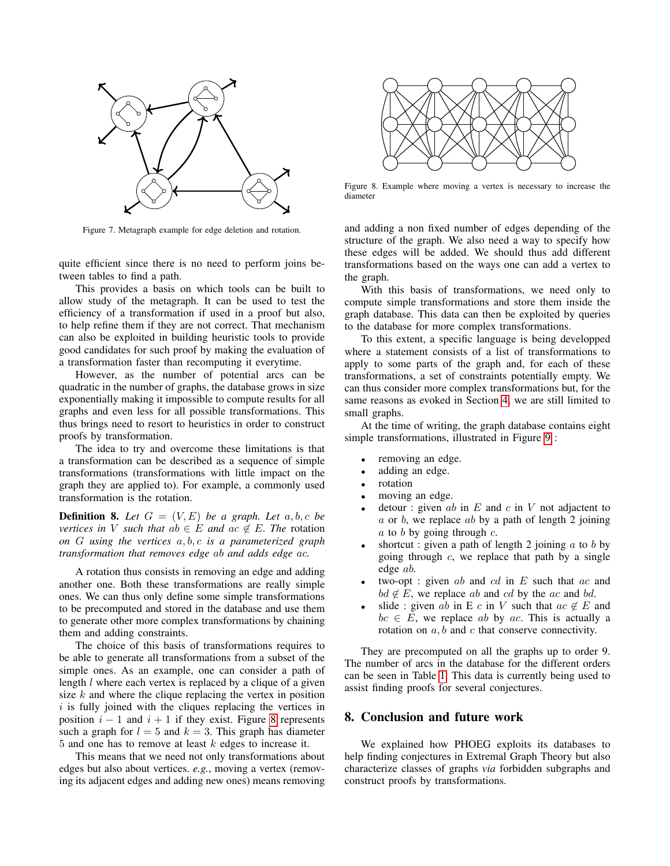

<span id="page-4-0"></span>Figure 7. Metagraph example for edge deletion and rotation.

quite efficient since there is no need to perform joins between tables to find a path.

This provides a basis on which tools can be built to allow study of the metagraph. It can be used to test the efficiency of a transformation if used in a proof but also, to help refine them if they are not correct. That mechanism can also be exploited in building heuristic tools to provide good candidates for such proof by making the evaluation of a transformation faster than recomputing it everytime.

However, as the number of potential arcs can be quadratic in the number of graphs, the database grows in size exponentially making it impossible to compute results for all graphs and even less for all possible transformations. This thus brings need to resort to heuristics in order to construct proofs by transformation.

The idea to try and overcome these limitations is that a transformation can be described as a sequence of simple transformations (transformations with little impact on the graph they are applied to). For example, a commonly used transformation is the rotation.

**Definition 8.** Let  $G = (V, E)$  be a graph. Let  $a, b, c$  be *vertices in* V *such that*  $ab \in E$  *and*  $ac \notin E$ *. The* rotation *on* G *using the vertices* a, b, c *is a parameterized graph transformation that removes edge* ab *and adds edge* ac*.*

A rotation thus consists in removing an edge and adding another one. Both these transformations are really simple ones. We can thus only define some simple transformations to be precomputed and stored in the database and use them to generate other more complex transformations by chaining them and adding constraints.

The choice of this basis of transformations requires to be able to generate all transformations from a subset of the simple ones. As an example, one can consider a path of length *l* where each vertex is replaced by a clique of a given size  $k$  and where the clique replacing the vertex in position  $i$  is fully joined with the cliques replacing the vertices in position  $i - 1$  and  $i + 1$  if they exist. Figure [8](#page-4-1) represents such a graph for  $l = 5$  and  $k = 3$ . This graph has diameter 5 and one has to remove at least  $k$  edges to increase it.

This means that we need not only transformations about edges but also about vertices. *e.g.*, moving a vertex (removing its adjacent edges and adding new ones) means removing



Figure 8. Example where moving a vertex is necessary to increase the diameter

<span id="page-4-1"></span>and adding a non fixed number of edges depending of the structure of the graph. We also need a way to specify how these edges will be added. We should thus add different transformations based on the ways one can add a vertex to the graph.

With this basis of transformations, we need only to compute simple transformations and store them inside the graph database. This data can then be exploited by queries to the database for more complex transformations.

To this extent, a specific language is being developped where a statement consists of a list of transformations to apply to some parts of the graph and, for each of these transformations, a set of constraints potentially empty. We can thus consider more complex transformations but, for the same reasons as evoked in Section [4,](#page-2-0) we are still limited to small graphs.

At the time of writing, the graph database contains eight simple transformations, illustrated in Figure [9](#page-5-22) :

- removing an edge.
- adding an edge.
- rotation
- moving an edge.
- detour : given ab in  $E$  and  $c$  in  $V$  not adjactent to  $a$  or  $b$ , we replace  $ab$  by a path of length 2 joining  $a$  to  $b$  by going through  $c$ .
- shortcut : given a path of length 2 joining  $\alpha$  to  $\delta$  by going through  $c$ , we replace that path by a single edge ab.
- two-opt : given  $ab$  and  $cd$  in  $E$  such that  $ac$  and  $bd \notin E$ , we replace ab and cd by the ac and bd.
- slide : given ab in E c in V such that  $ac \notin E$  and  $bc \in E$ , we replace ab by ac. This is actually a rotation on  $a, b$  and  $c$  that conserve connectivity.

They are precomputed on all the graphs up to order 9. The number of arcs in the database for the different orders can be seen in Table [1.](#page-5-23) This data is currently being used to assist finding proofs for several conjectures.

### 8. Conclusion and future work

We explained how PHOEG exploits its databases to help finding conjectures in Extremal Graph Theory but also characterize classes of graphs *via* forbidden subgraphs and construct proofs by transformations.